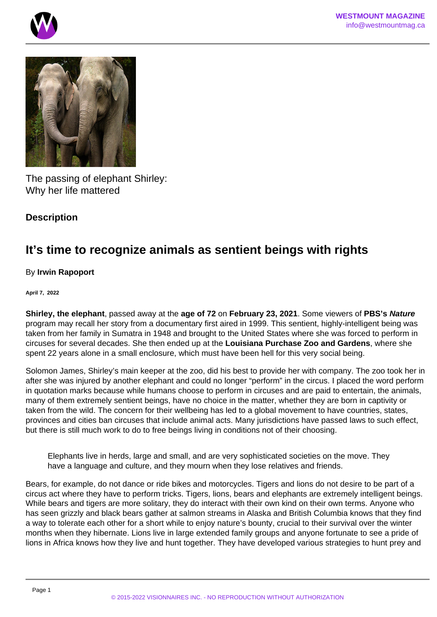



The passing of elephant Shirley: Why her life mattered

## **Description**

# **It's time to recognize animals as sentient beings with rights**

## By **Irwin Rapoport**

#### **April 7, 2022**

**Shirley, the elephant**, passed away at the **age of 72** on **February 23, 2021**. Some viewers of **PBS's Nature** program may recall her story from a documentary first aired in 1999. This sentient, highly-intelligent being was taken from her family in Sumatra in 1948 and brought to the United States where she was forced to perform in circuses for several decades. She then ended up at the **Louisiana Purchase Zoo and Gardens**, where she spent 22 years alone in a small enclosure, which must have been hell for this very social being.

Solomon James, Shirley's main keeper at the zoo, did his best to provide her with company. The zoo took her in after she was injured by another elephant and could no longer "perform" in the circus. I placed the word perform in quotation marks because while humans choose to perform in circuses and are paid to entertain, the animals, many of them extremely sentient beings, have no choice in the matter, whether they are born in captivity or taken from the wild. The concern for their wellbeing has led to a global movement to have countries, states, provinces and cities ban circuses that include animal acts. Many jurisdictions have passed laws to such effect, but there is still much work to do to free beings living in conditions not of their choosing.

Elephants live in herds, large and small, and are very sophisticated societies on the move. They have a language and culture, and they mourn when they lose relatives and friends.

Bears, for example, do not dance or ride bikes and motorcycles. Tigers and lions do not desire to be part of a circus act where they have to perform tricks. Tigers, lions, bears and elephants are extremely intelligent beings. While bears and tigers are more solitary, they do interact with their own kind on their own terms. Anyone who has seen grizzly and black bears gather at salmon streams in Alaska and British Columbia knows that they find a way to tolerate each other for a short while to enjoy nature's bounty, crucial to their survival over the winter months when they hibernate. Lions live in large extended family groups and anyone fortunate to see a pride of lions in Africa knows how they live and hunt together. They have developed various strategies to hunt prey and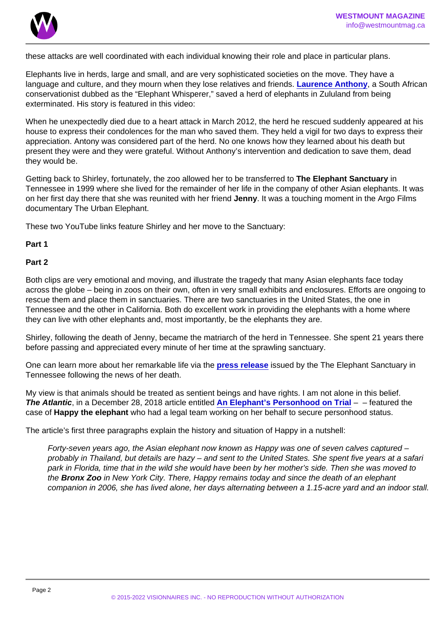these attacks are well coordinated with each individual knowing their role and place in particular plans.

Elephants live in herds, large and small, and are very sophisticated societies on the move. They have a language and culture, and they mourn when they lose relatives and friends. [Laurence Anthony](https://en.wikipedia.org/wiki/Lawrence_Anthony) , a South African conservationist dubbed as the "Elephant Whisperer," saved a herd of elephants in Zululand from being exterminated. His story is featured in this video:

When he unexpectedly died due to a heart attack in March 2012, the herd he rescued suddenly appeared at his house to express their condolences for the man who saved them. They held a vigil for two days to express their appreciation. Antony was considered part of the herd. No one knows how they learned about his death but present they were and they were grateful. Without Anthony's intervention and dedication to save them, dead they would be.

Getting back to Shirley, fortunately, the zoo allowed her to be transferred to The Elephant Sanctuary in Tennessee in 1999 where she lived for the remainder of her life in the company of other Asian elephants. It was on her first day there that she was reunited with her friend Jenny . It was a touching moment in the Argo Films documentary The Urban Elephant.

These two YouTube links feature Shirley and her move to the Sanctuary:

Part 1

Part 2

Both clips are very emotional and moving, and illustrate the tragedy that many Asian elephants face today across the globe – being in zoos on their own, often in very small exhibits and enclosures. Efforts are ongoing to rescue them and place them in sanctuaries. There are two sanctuaries in the United States, the one in Tennessee and the other in California. Both do excellent work in providing the elephants with a home where they can live with other elephants and, most importantly, be the elephants they are.

Shirley, following the death of Jenny, became the matriarch of the herd in Tennessee. She spent 21 years there before passing and appreciated every minute of her time at the sprawling sanctuary.

One can learn more about her remarkable life via the [press release](https://www.elephants.com/news/elenotes/posts/remembering-shirley) issued by the The Elephant Sanctuary in Tennessee following the news of her death.

My view is that animals should be treated as sentient beings and have rights. I am not alone in this belief. The Atlantic, in a December 28, 2018 article entitled [An Elephant's Personhood on Trial](https://www.theatlantic.com/science/archive/2018/12/happy-elephant-personhood/578818/)  $-$  – featured the case of Happy the elephant who had a legal team working on her behalf to secure personhood status.

The article's first three paragraphs explain the history and situation of Happy in a nutshell:

Forty-seven years ago, the Asian elephant now known as Happy was one of seven calves captured – probably in Thailand, but details are hazy – and sent to the United States. She spent five years at a safari park in Florida, time that in the wild she would have been by her mother's side. Then she was moved to the Bronx Zoo in New York City. There, Happy remains today and since the death of an elephant companion in 2006, she has lived alone, her days alternating between a 1.15-acre yard and an indoor stall.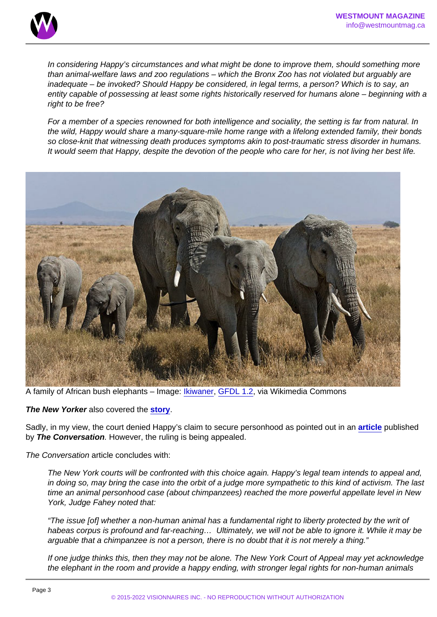In considering Happy's circumstances and what might be done to improve them, should something more than animal-welfare laws and zoo regulations – which the Bronx Zoo has not violated but arguably are inadequate – be invoked? Should Happy be considered, in legal terms, a person? Which is to say, an entity capable of possessing at least some rights historically reserved for humans alone – beginning with a right to be free?

For a member of a species renowned for both intelligence and sociality, the setting is far from natural. In the wild, Happy would share a many-square-mile home range with a lifelong extended family, their bonds so close-knit that witnessing death produces symptoms akin to post-traumatic stress disorder in humans. It would seem that Happy, despite the devotion of the people who care for her, is not living her best life.

A family of African bush elephants – Image: [Ikiwaner](https://commons.wikimedia.org/wiki/File:Serengeti_Elefantenherde1.jpg), [GFDL 1.2,](http://www.gnu.org/licenses/old-licenses/fdl-1.2.html) via Wikimedia Commons

The New Yorker also covered the [story](https://www.newyorker.com/magazine/2022/03/07/the-elephant-in-the-courtroom).

Sadly, in my view, the court denied Happy's claim to secure personhood as pointed out in an [article](https://theconversation.com/happy-the-elephant-was-denied-rights-designed-for-humans-but-the-legal-definition-of-person-is-still-evolving-152410) published by The Conversation . However, the ruling is being appealed.

The Conversation article concludes with:

The New York courts will be confronted with this choice again. Happy's legal team intends to appeal and, in doing so, may bring the case into the orbit of a judge more sympathetic to this kind of activism. The last time an animal personhood case (about chimpanzees) reached the more powerful appellate level in New York, Judge Fahey noted that:

"The issue [of] whether a non-human animal has a fundamental right to liberty protected by the writ of habeas corpus is profound and far-reaching... Ultimately, we will not be able to ignore it. While it may be arguable that a chimpanzee is not a person, there is no doubt that it is not merely a thing."

If one judge thinks this, then they may not be alone. The New York Court of Appeal may yet acknowledge the elephant in the room and provide a happy ending, with stronger legal rights for non-human animals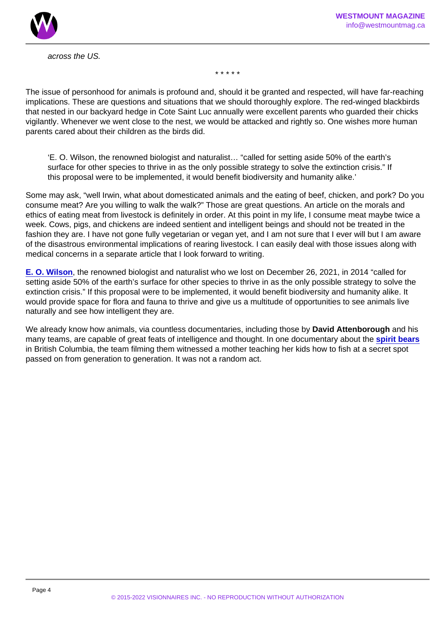across the US.

\* \* \* \* \*

The issue of personhood for animals is profound and, should it be granted and respected, will have far-reaching implications. These are questions and situations that we should thoroughly explore. The red-winged blackbirds that nested in our backyard hedge in Cote Saint Luc annually were excellent parents who guarded their chicks vigilantly. Whenever we went close to the nest, we would be attacked and rightly so. One wishes more human parents cared about their children as the birds did.

'E. O. Wilson, the renowned biologist and naturalist… "called for setting aside 50% of the earth's surface for other species to thrive in as the only possible strategy to solve the extinction crisis." If this proposal were to be implemented, it would benefit biodiversity and humanity alike.'

Some may ask, "well Irwin, what about domesticated animals and the eating of beef, chicken, and pork? Do you consume meat? Are you willing to walk the walk?" Those are great questions. An article on the morals and ethics of eating meat from livestock is definitely in order. At this point in my life, I consume meat maybe twice a week. Cows, pigs, and chickens are indeed sentient and intelligent beings and should not be treated in the fashion they are. I have not gone fully vegetarian or vegan yet, and I am not sure that I ever will but I am aware of the disastrous environmental implications of rearing livestock. I can easily deal with those issues along with medical concerns in a separate article that I look forward to writing.

[E. O. Wilson](https://en.wikipedia.org/wiki/E._O._Wilson) , the renowned biologist and naturalist who we lost on December 26, 2021, in 2014 "called for setting aside 50% of the earth's surface for other species to thrive in as the only possible strategy to solve the extinction crisis." If this proposal were to be implemented, it would benefit biodiversity and humanity alike. It would provide space for flora and fauna to thrive and give us a multitude of opportunities to see animals live naturally and see how intelligent they are.

We already know how animals, via countless documentaries, including those by David Attenborough and his many teams, are capable of great feats of intelligence and thought. In one documentary about the [spirit bears](https://en.wikipedia.org/wiki/Kermode_bear) in British Columbia, the team filming them witnessed a mother teaching her kids how to fish at a secret spot passed on from generation to generation. It was not a random act.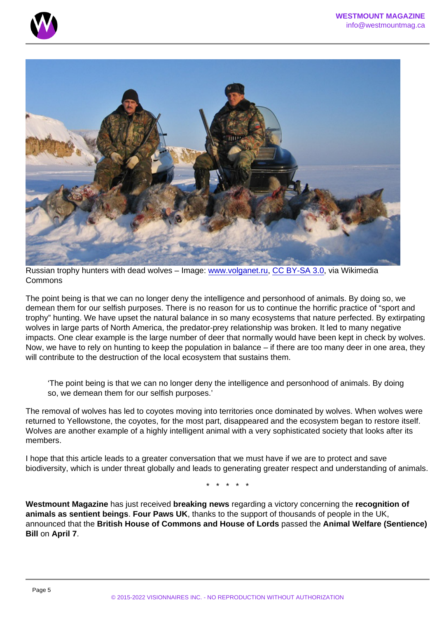Russian trophy hunters with dead wolves – Image: [www.volganet.ru](https://commons.wikimedia.org/wiki/File:Provedenie_meropriyatii_po_otstrelu_vrednyh_givotnyh_na_territorii_Kamyshinskogo_raiona_Volgogradskoi_oblasti.jpg), [CC BY-SA 3.0,](https://creativecommons.org/licenses/by-sa/3.0) via Wikimedia Commons

The point being is that we can no longer deny the intelligence and personhood of animals. By doing so, we demean them for our selfish purposes. There is no reason for us to continue the horrific practice of "sport and trophy" hunting. We have upset the natural balance in so many ecosystems that nature perfected. By extirpating wolves in large parts of North America, the predator-prey relationship was broken. It led to many negative impacts. One clear example is the large number of deer that normally would have been kept in check by wolves. Now, we have to rely on hunting to keep the population in balance – if there are too many deer in one area, they will contribute to the destruction of the local ecosystem that sustains them.

'The point being is that we can no longer deny the intelligence and personhood of animals. By doing so, we demean them for our selfish purposes.'

The removal of wolves has led to coyotes moving into territories once dominated by wolves. When wolves were returned to Yellowstone, the coyotes, for the most part, disappeared and the ecosystem began to restore itself. Wolves are another example of a highly intelligent animal with a very sophisticated society that looks after its members.

I hope that this article leads to a greater conversation that we must have if we are to protect and save biodiversity, which is under threat globally and leads to generating greater respect and understanding of animals.

\* \* \* \* \*

Westmount Magazine has just received breaking news regarding a victory concerning the recognition of animals as sentient beings . Four Paws UK , thanks to the support of thousands of people in the UK, announced that the British House of Commons and House of Lords passed the Animal Welfare (Sentience) Bill on April 7 .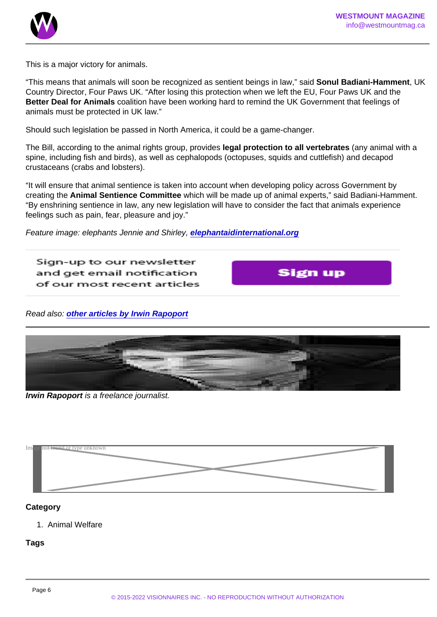This is a major victory for animals.

"This means that animals will soon be recognized as sentient beings in law," said Sonul Badiani-Hamment , UK Country Director, Four Paws UK. "After losing this protection when we left the EU, Four Paws UK and the Better Deal for Animals coalition have been working hard to remind the UK Government that feelings of animals must be protected in UK law."

Should such legislation be passed in North America, it could be a game-changer.

The Bill, according to the animal rights group, provides legal protection to all vertebrates (any animal with a spine, including fish and birds), as well as cephalopods (octopuses, squids and cuttlefish) and decapod crustaceans (crabs and lobsters).

"It will ensure that animal sentience is taken into account when developing policy across Government by creating the Animal Sentience Committee which will be made up of animal experts," said Badiani-Hamment. "By enshrining sentience in law, any new legislation will have to consider the fact that animals experience feelings such as pain, fear, pleasure and joy."

Feature image: elephants Jennie and Shirley, [elephantaidinternational.org](https://elephantaidinternational.org/)

Read also: [other articles by Irwin Rapoport](https://www.westmountmag.ca/?s=Irwin+Rapoport)

Irwin Rapoport is a freelance journalist.



### Category

1. Animal Welfare

**Tags**